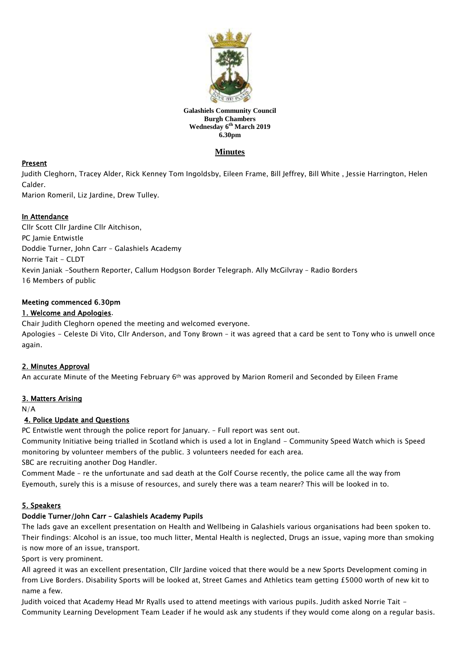

#### **Galashiels Community Council Burgh Chambers Wednesday 6 th March 2019 6.30pm**

# **Minutes**

## Present

Judith Cleghorn, Tracey Alder, Rick Kenney Tom Ingoldsby, Eileen Frame, Bill Jeffrey, Bill White , Jessie Harrington, Helen Calder.

Marion Romeril, Liz Jardine, Drew Tulley.

### In Attendance

Cllr Scott Cllr Jardine Cllr Aitchison, PC Jamie Entwistle Doddie Turner, John Carr – Galashiels Academy Norrie Tait - CLDT Kevin Janiak -Southern Reporter, Callum Hodgson Border Telegraph. Ally McGilvray – Radio Borders 16 Members of public

#### Meeting commenced 6.30pm

### 1. Welcome and Apologies.

Chair Judith Cleghorn opened the meeting and welcomed everyone.

Apologies - Celeste Di Vito, Cllr Anderson, and Tony Brown - it was agreed that a card be sent to Tony who is unwell once again.

### 2. Minutes Approval

An accurate Minute of the Meeting February 6th was approved by Marion Romeril and Seconded by Eileen Frame

### 3. Matters Arising

N/A

### 4. Police Update and Questions

PC Entwistle went through the police report for January. – Full report was sent out.

Community Initiative being trialled in Scotland which is used a lot in England - Community Speed Watch which is Speed monitoring by volunteer members of the public. 3 volunteers needed for each area.

SBC are recruiting another Dog Handler.

Comment Made – re the unfortunate and sad death at the Golf Course recently, the police came all the way from Eyemouth, surely this is a misuse of resources, and surely there was a team nearer? This will be looked in to.

### 5. Speakers

#### Doddie Turner/John Carr – Galashiels Academy Pupils

The lads gave an excellent presentation on Health and Wellbeing in Galashiels various organisations had been spoken to. Their findings: Alcohol is an issue, too much litter, Mental Health is neglected, Drugs an issue, vaping more than smoking is now more of an issue, transport.

Sport is very prominent.

All agreed it was an excellent presentation, Cllr Jardine voiced that there would be a new Sports Development coming in from Live Borders. Disability Sports will be looked at, Street Games and Athletics team getting £5000 worth of new kit to name a few.

Judith voiced that Academy Head Mr Ryalls used to attend meetings with various pupils. Judith asked Norrie Tait - Community Learning Development Team Leader if he would ask any students if they would come along on a regular basis.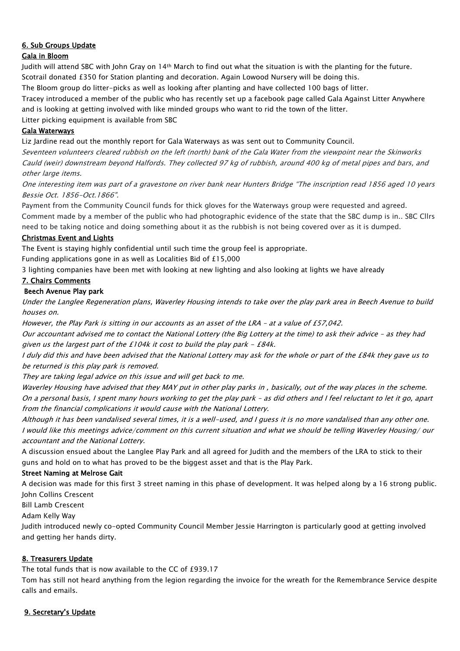# 6. Sub Groups Update

### Gala in Bloom

Judith will attend SBC with John Gray on 14th March to find out what the situation is with the planting for the future. Scotrail donated £350 for Station planting and decoration. Again Lowood Nursery will be doing this.

The Bloom group do litter-picks as well as looking after planting and have collected 100 bags of litter.

Tracey introduced a member of the public who has recently set up a facebook page called Gala Against Litter Anywhere and is looking at getting involved with like minded groups who want to rid the town of the litter.

Litter picking equipment is available from SBC

### Gala Waterways

Liz Jardine read out the monthly report for Gala Waterways as was sent out to Community Council.

Seventeen volunteers cleared rubbish on the left (north) bank of the Gala Water from the viewpoint near the Skinworks Cauld (weir) downstream beyond Halfords. They collected 97 kg of rubbish, around 400 kg of metal pipes and bars, and other large items.

One interesting item was part of a gravestone on river bank near Hunters Bridge "The inscription read 1856 aged 10 years Bessie Oct. 1856-Oct.1866".

Payment from the Community Council funds for thick gloves for the Waterways group were requested and agreed. Comment made by a member of the public who had photographic evidence of the state that the SBC dump is in.. SBC Cllrs need to be taking notice and doing something about it as the rubbish is not being covered over as it is dumped.

### Christmas Event and Lights

The Event is staying highly confidential until such time the group feel is appropriate.

Funding applications gone in as well as Localities Bid of £15,000

3 lighting companies have been met with looking at new lighting and also looking at lights we have already

#### 7. Chairs Comments

### Beech Avenue Play park

Under the Langlee Regeneration plans, Waverley Housing intends to take over the play park area in Beech Avenue to build houses on.

However, the Play Park is sitting in our accounts as an asset of the LRA – at a value of £57,042.

Our accountant advised me to contact the National Lottery (the Big Lottery at the time) to ask their advice – as they had given us the largest part of the £104k it cost to build the play park  $-$  £84k.

I duly did this and have been advised that the National Lottery may ask for the whole or part of the £84k they gave us to be returned is this play park is removed.

They are taking legal advice on this issue and will get back to me.

Waverley Housing have advised that they MAY put in other play parks in , basically, out of the way places in the scheme. On a personal basis, I spent many hours working to get the play park – as did others and I feel reluctant to let it go, apart from the financial complications it would cause with the National Lottery.

Although it has been vandalised several times, it is a well-used, and I guess it is no more vandalised than any other one. I would like this meetings advice/comment on this current situation and what we should be telling Waverley Housing/ our accountant and the National Lottery.

A discussion ensued about the Langlee Play Park and all agreed for Judith and the members of the LRA to stick to their guns and hold on to what has proved to be the biggest asset and that is the Play Park.

### Street Naming at Melrose Gait

A decision was made for this first 3 street naming in this phase of development. It was helped along by a 16 strong public. John Collins Crescent

Bill Lamb Crescent

Adam Kelly Way

Judith introduced newly co-opted Community Council Member Jessie Harrington is particularly good at getting involved and getting her hands dirty.

### 8. Treasurers Update

The total funds that is now available to the CC of £939.17

Tom has still not heard anything from the legion regarding the invoice for the wreath for the Remembrance Service despite calls and emails.

### 9. Secretary's Update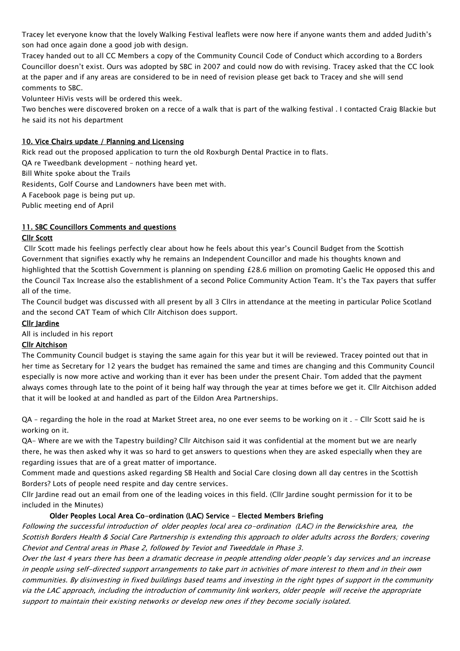Tracey let everyone know that the lovely Walking Festival leaflets were now here if anyone wants them and added Judith's son had once again done a good job with design.

Tracey handed out to all CC Members a copy of the Community Council Code of Conduct which according to a Borders Councillor doesn't exist. Ours was adopted by SBC in 2007 and could now do with revising. Tracey asked that the CC look at the paper and if any areas are considered to be in need of revision please get back to Tracey and she will send comments to SBC.

Volunteer HiVis vests will be ordered this week.

Two benches were discovered broken on a recce of a walk that is part of the walking festival . I contacted Craig Blackie but he said its not his department

### 10. Vice Chairs update / Planning and Licensing

Rick read out the proposed application to turn the old Roxburgh Dental Practice in to flats.

QA re Tweedbank development – nothing heard yet.

Bill White spoke about the Trails

Residents, Golf Course and Landowners have been met with.

A Facebook page is being put up.

Public meeting end of April

### 11. SBC Councillors Comments and questions

#### Cllr Scott

Cllr Scott made his feelings perfectly clear about how he feels about this year's Council Budget from the Scottish Government that signifies exactly why he remains an Independent Councillor and made his thoughts known and highlighted that the Scottish Government is planning on spending £28.6 million on promoting Gaelic He opposed this and the Council Tax Increase also the establishment of a second Police Community Action Team. It's the Tax payers that suffer all of the time.

The Council budget was discussed with all present by all 3 Cllrs in attendance at the meeting in particular Police Scotland and the second CAT Team of which Cllr Aitchison does support.

#### Cllr Jardine

All is included in his report

### Cllr Aitchison

The Community Council budget is staying the same again for this year but it will be reviewed. Tracey pointed out that in her time as Secretary for 12 years the budget has remained the same and times are changing and this Community Council especially is now more active and working than it ever has been under the present Chair. Tom added that the payment always comes through late to the point of it being half way through the year at times before we get it. Cllr Aitchison added that it will be looked at and handled as part of the Eildon Area Partnerships.

QA – regarding the hole in the road at Market Street area, no one ever seems to be working on it . – Cllr Scott said he is working on it.

QA- Where are we with the Tapestry building? Cllr Aitchison said it was confidential at the moment but we are nearly there, he was then asked why it was so hard to get answers to questions when they are asked especially when they are regarding issues that are of a great matter of importance.

Comment made and questions asked regarding SB Health and Social Care closing down all day centres in the Scottish Borders? Lots of people need respite and day centre services.

Cllr Jardine read out an email from one of the leading voices in this field. (Cllr Jardine sought permission for it to be included in the Minutes)

### Older Peoples Local Area Co-ordination (LAC) Service - Elected Members Briefing

Following the successful introduction of older peoples local area co-ordination (LAC) in the Berwickshire area, the Scottish Borders Health & Social Care Partnership is extending this approach to older adults across the Borders; covering Cheviot and Central areas in Phase 2, followed by Teviot and Tweeddale in Phase 3.

Over the last 4 years there has been a dramatic decrease in people attending older people's day services and an increase in people using self-directed support arrangements to take part in activities of more interest to them and in their own communities. By disinvesting in fixed buildings based teams and investing in the right types of support in the community via the LAC approach, including the introduction of community link workers, older people will receive the appropriate support to maintain their existing networks or develop new ones if they become socially isolated.